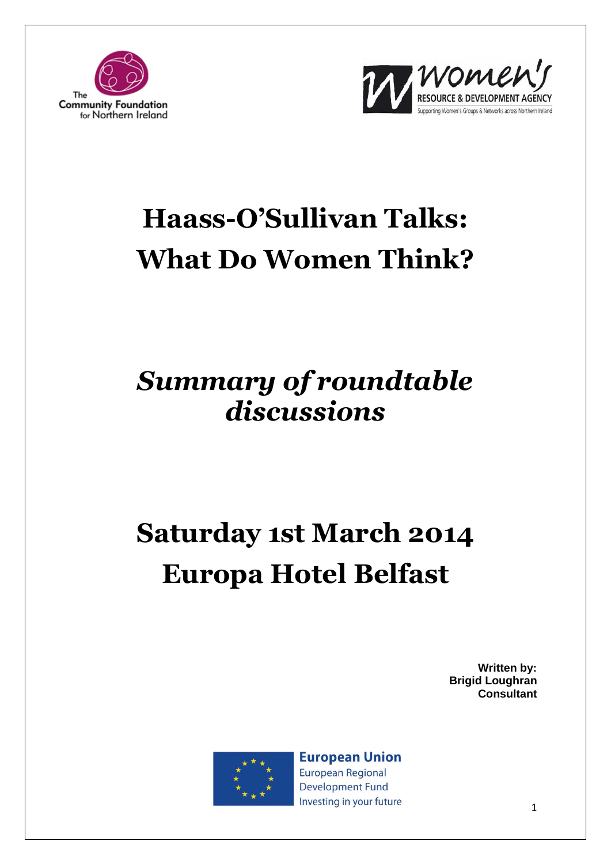



# **Haass-O'Sullivan Talks: What Do Women Think?**

### *Summary of roundtable discussions*

# **Saturday 1st March 2014 Europa Hotel Belfast**

**Written by: Brigid Loughran Consultant**



**European Union** European Regional **Development Fund** Investing in your future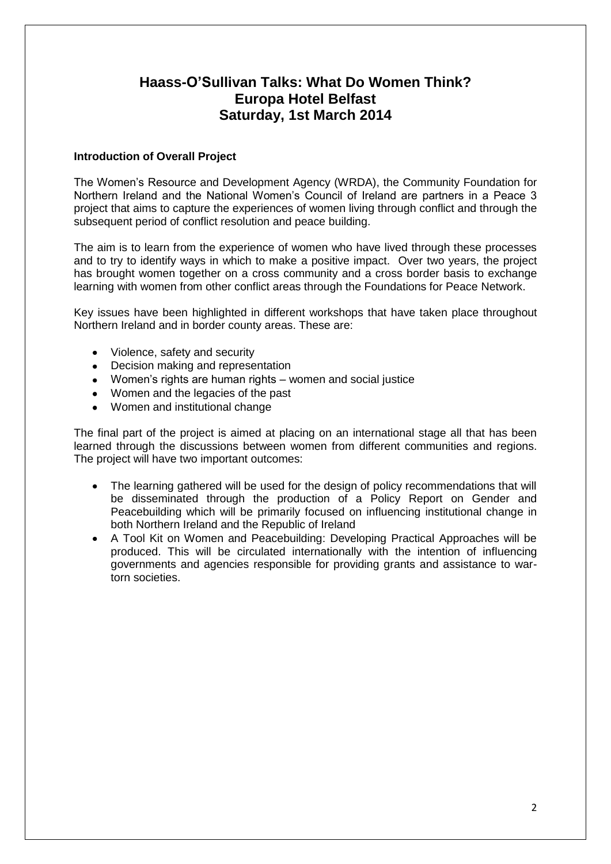### **Haass-O'Sullivan Talks: What Do Women Think? Europa Hotel Belfast Saturday, 1st March 2014**

#### **Introduction of Overall Project**

The Women's Resource and Development Agency (WRDA), the Community Foundation for Northern Ireland and the National Women's Council of Ireland are partners in a Peace 3 project that aims to capture the experiences of women living through conflict and through the subsequent period of conflict resolution and peace building.

The aim is to learn from the experience of women who have lived through these processes and to try to identify ways in which to make a positive impact. Over two years, the project has brought women together on a cross community and a cross border basis to exchange learning with women from other conflict areas through the Foundations for Peace Network.

Key issues have been highlighted in different workshops that have taken place throughout Northern Ireland and in border county areas. These are:

- $\bullet$ Violence, safety and security
- Decision making and representation
- Women's rights are human rights women and social justice
- Women and the legacies of the past
- Women and institutional change  $\bullet$

The final part of the project is aimed at placing on an international stage all that has been learned through the discussions between women from different communities and regions. The project will have two important outcomes:

- The learning gathered will be used for the design of policy recommendations that will  $\bullet$ be disseminated through the production of a Policy Report on Gender and Peacebuilding which will be primarily focused on influencing institutional change in both Northern Ireland and the Republic of Ireland
- A Tool Kit on Women and Peacebuilding: Developing Practical Approaches will be produced. This will be circulated internationally with the intention of influencing governments and agencies responsible for providing grants and assistance to wartorn societies.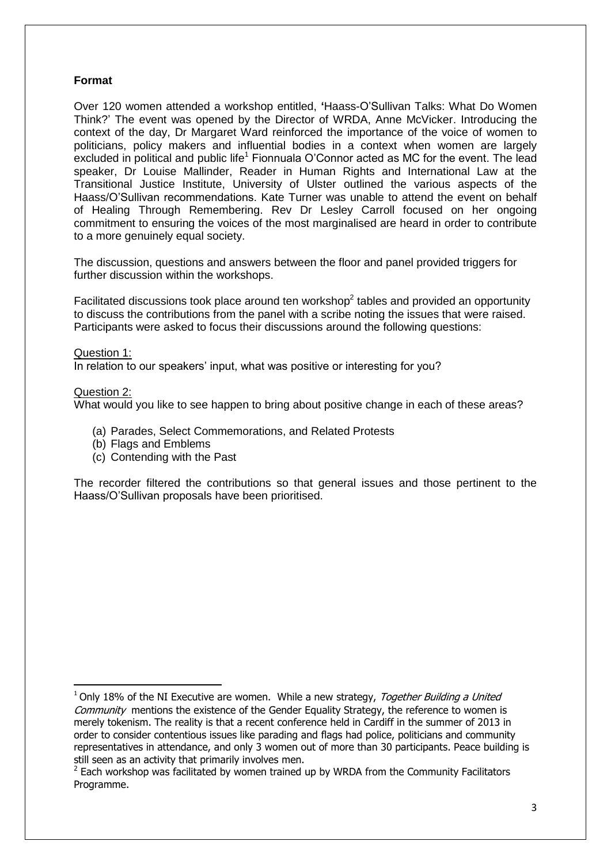#### **Format**

Over 120 women attended a workshop entitled, **'**Haass-O'Sullivan Talks: What Do Women Think?' The event was opened by the Director of WRDA, Anne McVicker. Introducing the context of the day, Dr Margaret Ward reinforced the importance of the voice of women to politicians, policy makers and influential bodies in a context when women are largely excluded in political and public life<sup>1</sup> Fionnuala O'Connor acted as MC for the event. The lead speaker, Dr Louise Mallinder, Reader in Human Rights and International Law at the Transitional Justice Institute, University of Ulster outlined the various aspects of the Haass/O'Sullivan recommendations. Kate Turner was unable to attend the event on behalf of Healing Through Remembering. Rev Dr Lesley Carroll focused on her ongoing commitment to ensuring the voices of the most marginalised are heard in order to contribute to a more genuinely equal society.

The discussion, questions and answers between the floor and panel provided triggers for further discussion within the workshops.

Facilitated discussions took place around ten workshop $2$  tables and provided an opportunity to discuss the contributions from the panel with a scribe noting the issues that were raised. Participants were asked to focus their discussions around the following questions:

#### Question 1:

In relation to our speakers' input, what was positive or interesting for you?

#### Question 2:

**.** 

What would you like to see happen to bring about positive change in each of these areas?

- (a) Parades, Select Commemorations, and Related Protests
- (b) Flags and Emblems
- (c) Contending with the Past

The recorder filtered the contributions so that general issues and those pertinent to the Haass/O'Sullivan proposals have been prioritised.

 $1$  Only 18% of the NI Executive are women. While a new [strategy,](http://www.ofmdfmni.gov.uk/index/equality-and-strategy/good-relations/together-building-a-united-community.htm) Together Building a United Community mentions the existence of the [Gender Equality Strategy,](http://www.ofmdfmni.gov.uk/gender-equality-strategy-implementation-progress-report-2006-2009.pdf) the reference to women is merely tokenism. The reality is that a recent conference held in Cardiff in the summer of 2013 in order to consider contentious issues like parading and flags had police, politicians and community representatives in attendance, and only 3 women out of more than 30 participants. Peace building is still seen as an activity that primarily involves men.

 $2$  Each workshop was facilitated by women trained up by WRDA from the Community Facilitators Programme.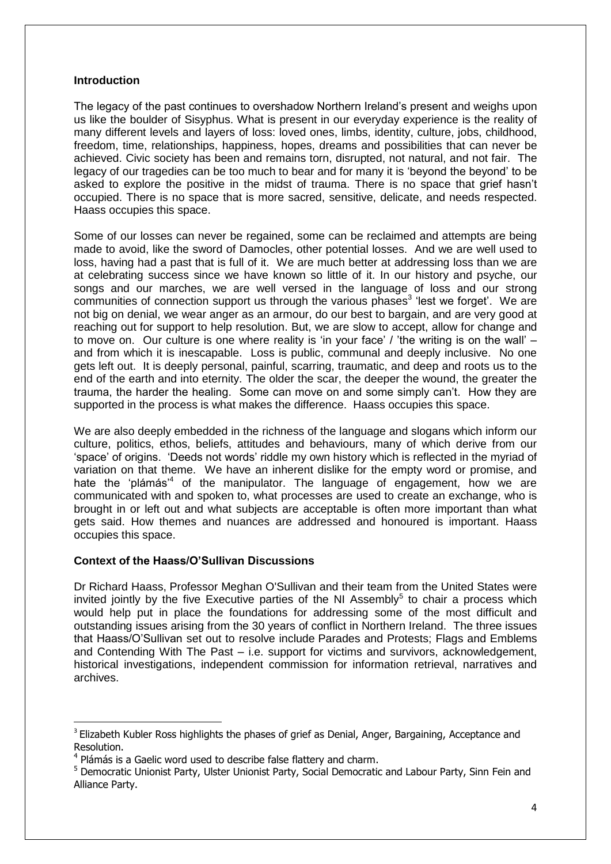#### **Introduction**

The legacy of the past continues to overshadow Northern Ireland's present and weighs upon us like the boulder of Sisyphus. What is present in our everyday experience is the reality of many different levels and layers of loss: loved ones, limbs, identity, culture, jobs, childhood, freedom, time, relationships, happiness, hopes, dreams and possibilities that can never be achieved. Civic society has been and remains torn, disrupted, not natural, and not fair. The legacy of our tragedies can be too much to bear and for many it is 'beyond the beyond' to be asked to explore the positive in the midst of trauma. There is no space that grief hasn't occupied. There is no space that is more sacred, sensitive, delicate, and needs respected. Haass occupies this space.

Some of our losses can never be regained, some can be reclaimed and attempts are being made to avoid, like the sword of Damocles, other potential losses. And we are well used to loss, having had a past that is full of it. We are much better at addressing loss than we are at celebrating success since we have known so little of it. In our history and psyche, our songs and our marches, we are well versed in the language of loss and our strong communities of connection support us through the various phases<sup>3</sup> 'lest we forget'. We are not big on denial, we wear anger as an armour, do our best to bargain, and are very good at reaching out for support to help resolution. But, we are slow to accept, allow for change and to move on. Our culture is one where reality is 'in your face' / 'the writing is on the wall' – and from which it is inescapable. Loss is public, communal and deeply inclusive. No one gets left out. It is deeply personal, painful, scarring, traumatic, and deep and roots us to the end of the earth and into eternity. The older the scar, the deeper the wound, the greater the trauma, the harder the healing. Some can move on and some simply can't. How they are supported in the process is what makes the difference. Haass occupies this space.

We are also deeply embedded in the richness of the language and slogans which inform our culture, politics, ethos, beliefs, attitudes and behaviours, many of which derive from our 'space' of origins. 'Deeds not words' riddle my own history which is reflected in the myriad of variation on that theme. We have an inherent dislike for the empty word or promise, and hate the 'plámás'<sup>4</sup> of the manipulator. The language of engagement, how we are communicated with and spoken to, what processes are used to create an exchange, who is brought in or left out and what subjects are acceptable is often more important than what gets said. How themes and nuances are addressed and honoured is important. Haass occupies this space.

#### **Context of the Haass/O'Sullivan Discussions**

**.** 

Dr [Richard Haass,](http://en.wikipedia.org/wiki/Richard_Haass) Professor Meghan O'Sullivan and their team from the United States were invited jointly by the five Executive parties of the NI Assembly<sup>5</sup> to chair a process which would help put in place the foundations for addressing some of the most difficult and outstanding issues arising from the 30 years of conflict in Northern Ireland. The three issues that Haass/O'Sullivan set out to resolve include Parades and Protests; Flags and Emblems and Contending With The Past – i.e. support for victims and survivors, acknowledgement, historical investigations, independent commission for information retrieval, narratives and archives.

<sup>&</sup>lt;sup>3</sup> Elizabeth Kubler Ross highlights the phases of grief as Denial, Anger, Bargaining, Acceptance and Resolution.

<sup>&</sup>lt;sup>4</sup> Plámás is a Gaelic word used to describe false flattery and charm.

<sup>&</sup>lt;sup>5</sup> Democratic Unionist Party, Ulster Unionist Party, Social Democratic and Labour Party, Sinn Fein and Alliance Party.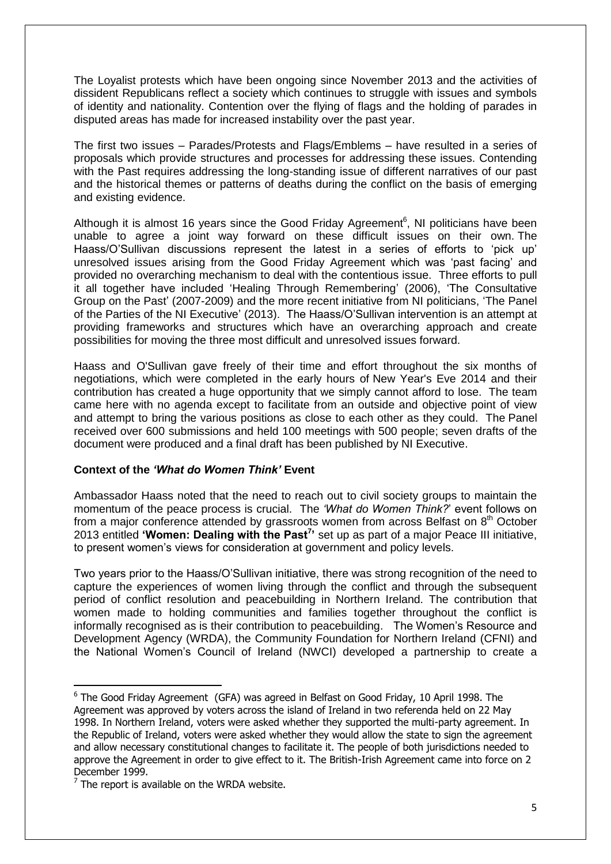The Loyalist protests which have been ongoing since November 2013 and the activities of dissident Republicans reflect a society which continues to struggle with issues and symbols of identity and nationality. Contention over the flying of flags and the holding of parades in disputed areas has made for increased instability over the past year.

The first two issues – Parades/Protests and Flags/Emblems – have resulted in a series of proposals which provide structures and processes for addressing these issues. Contending with the Past requires addressing the long-standing issue of different narratives of our past and the historical themes or patterns of deaths during the conflict on the basis of emerging and existing evidence.

Although it is almost 16 years since the Good Friday Agreement<sup>6</sup>, NI politicians have been unable to agree a joint way forward on these difficult issues on their own. The Haass/O'Sullivan discussions represent the latest in a series of efforts to 'pick up' unresolved issues arising from the Good Friday Agreement which was 'past facing' and provided no overarching mechanism to deal with the contentious issue. Three efforts to pull it all together have included 'Healing Through Remembering' (2006), 'The Consultative Group on the Past' (2007-2009) and the more recent initiative from NI politicians, 'The Panel of the Parties of the NI Executive' (2013). The Haass/O'Sullivan intervention is an attempt at providing frameworks and structures which have an overarching approach and create possibilities for moving the three most difficult and unresolved issues forward.

Haass and O'Sullivan gave freely of their time and effort throughout the six months of negotiations, which were completed in the early hours of [New Year's Eve](http://en.wikipedia.org/wiki/New_Year%27s_Eve) 2014 and their contribution has created a huge opportunity that we simply cannot afford to lose. The team came here with no agenda except to facilitate from an outside and objective point of view and attempt to bring the various positions as close to each other as they could. The Panel received over 600 submissions and held 100 meetings with 500 people; seven drafts of the document were produced and a final draft has been published by NI Executive.

#### **Context of the** *'What do Women Think'* **Event**

Ambassador Haass noted that the need to reach out to civil society groups to maintain the momentum of the peace process is crucial. The *'What do Women Think?*' event follows on from a major conference attended by grassroots women from across Belfast on  $8<sup>th</sup>$  October 2013 entitled **'Women: Dealing with the Past<sup>7</sup> '** set up as part of a major Peace III initiative, to present women's views for consideration at government and policy levels.

Two years prior to the Haass/O'Sullivan initiative, there was strong recognition of the need to capture the experiences of women living through the conflict and through the subsequent period of conflict resolution and peacebuilding in Northern Ireland. The contribution that women made to holding communities and families together throughout the conflict is informally recognised as is their contribution to peacebuilding. The Women's Resource and Development Agency (WRDA), the Community Foundation for Northern Ireland (CFNI) and the National Women's Council of Ireland (NWCI) developed a partnership to create a

**.** 

<sup>&</sup>lt;sup>6</sup> The Good Friday Agreement (GFA) was agreed in [Belfast](http://en.wikipedia.org/wiki/Belfast) on [Good Friday,](http://en.wikipedia.org/wiki/Good_Friday) 10 April 1998. The Agreement was approved by voters across the [island of Ireland](http://en.wikipedia.org/wiki/Island_of_Ireland) in two referenda held on 22 May 1998. In Northern Ireland, [voters were asked](http://en.wikipedia.org/wiki/Northern_Ireland_Good_Friday_Agreement_referendum,_1998) whether they supported the multi-party agreement. In the [Republic of Ireland,](http://en.wikipedia.org/wiki/Republic_of_Ireland) [voters were asked](http://en.wikipedia.org/wiki/Nineteenth_Amendment_of_the_Constitution_of_Ireland) whether they would allow the state to sign the agreement and allow necessary constitutional changes to facilitate it. The people of both jurisdictions needed to approve the Agreement in order to give effect to it. The British-Irish Agreement came into force on 2 December 1999.

 $7$  The report is available on the WRDA website.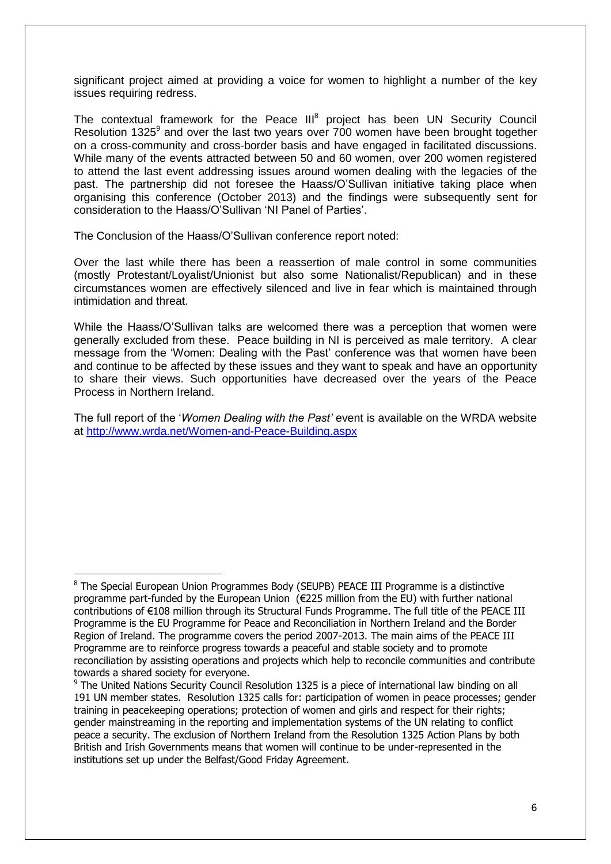significant project aimed at providing a voice for women to highlight a number of the key issues requiring redress.

The contextual framework for the Peace III<sup>8</sup> project has been UN Security Council Resolution 1325 $9$  and over the last two years over 700 women have been brought together on a cross-community and cross-border basis and have engaged in facilitated discussions. While many of the events attracted between 50 and 60 women, over 200 women registered to attend the last event addressing issues around women dealing with the legacies of the past. The partnership did not foresee the Haass/O'Sullivan initiative taking place when organising this conference (October 2013) and the findings were subsequently sent for consideration to the Haass/O'Sullivan 'NI Panel of Parties'.

The Conclusion of the Haass/O'Sullivan conference report noted:

1

Over the last while there has been a reassertion of male control in some communities (mostly Protestant/Loyalist/Unionist but also some Nationalist/Republican) and in these circumstances women are effectively silenced and live in fear which is maintained through intimidation and threat.

While the Haass/O'Sullivan talks are welcomed there was a perception that women were generally excluded from these. Peace building in NI is perceived as male territory. A clear message from the 'Women: Dealing with the Past' conference was that women have been and continue to be affected by these issues and they want to speak and have an opportunity to share their views. Such opportunities have decreased over the years of the Peace Process in Northern Ireland.

The full report of the '*Women Dealing with the Past'* event is available on the WRDA website at<http://www.wrda.net/Women-and-Peace-Building.aspx>

<sup>&</sup>lt;sup>8</sup> The Special European Union Programmes Body (SEUPB) PEACE III Programme is a distinctive programme part-funded by the European Union (€225 million from the EU) with further national contributions of €108 million through its Structural Funds Programme. The full title of the PEACE III Programme is the EU Programme for Peace and Reconciliation in Northern Ireland and the Border Region of Ireland. The programme covers the period 2007-2013. The main aims of the PEACE III Programme are to reinforce progress towards a peaceful and stable society and to promote reconciliation by assisting operations and projects which help to reconcile communities and contribute towards a shared society for everyone.

<sup>&</sup>lt;sup>9</sup> The United Nations Security Council Resolution 1325 is a piece of international law binding on all 191 UN member states. Resolution 1325 calls for: participation of women in peace processes; gender training in peacekeeping operations; protection of women and girls and respect for their rights; gender mainstreaming in the reporting and implementation systems of the UN relating to conflict peace a security. The exclusion of Northern Ireland from the Resolution 1325 Action Plans by both British and Irish Governments means that women will continue to be under-represented in the institutions set up under the Belfast/Good Friday Agreement.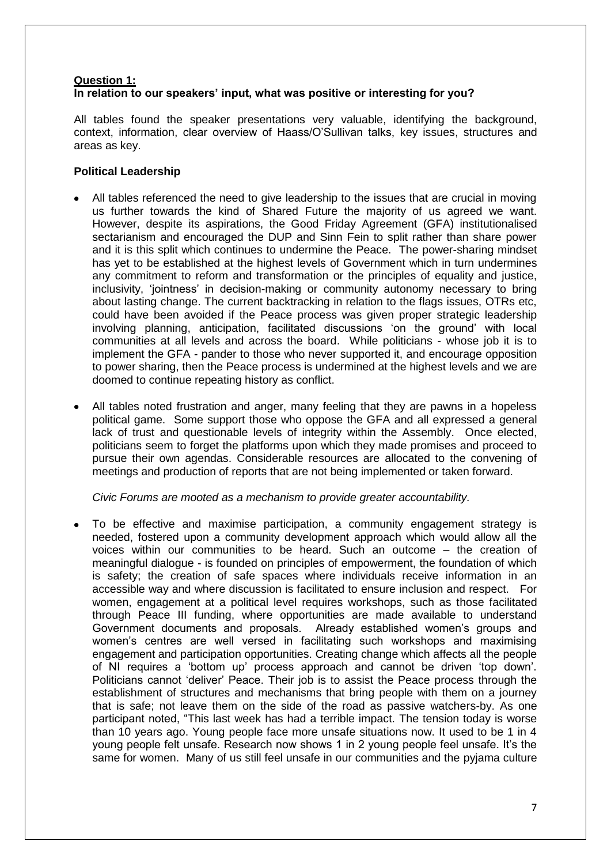#### **Question 1: In relation to our speakers' input, what was positive or interesting for you?**

All tables found the speaker presentations very valuable, identifying the background, context, information, clear overview of Haass/O'Sullivan talks, key issues, structures and areas as key.

#### **Political Leadership**

- All tables referenced the need to give leadership to the issues that are crucial in moving us further towards the kind of Shared Future the majority of us agreed we want. However, despite its aspirations, the Good Friday Agreement (GFA) institutionalised sectarianism and encouraged the DUP and Sinn Fein to split rather than share power and it is this split which continues to undermine the Peace. The power-sharing mindset has yet to be established at the highest levels of Government which in turn undermines any commitment to reform and transformation or the principles of equality and justice, inclusivity, 'jointness' in decision-making or community autonomy necessary to bring about lasting change. The current backtracking in relation to the flags issues, OTRs etc, could have been avoided if the Peace process was given proper strategic leadership involving planning, anticipation, facilitated discussions 'on the ground' with local communities at all levels and across the board. While politicians - whose job it is to implement the GFA - pander to those who never supported it, and encourage opposition to power sharing, then the Peace process is undermined at the highest levels and we are doomed to continue repeating history as conflict.
- All tables noted frustration and anger, many feeling that they are pawns in a hopeless political game. Some support those who oppose the GFA and all expressed a general lack of trust and questionable levels of integrity within the Assembly. Once elected, politicians seem to forget the platforms upon which they made promises and proceed to pursue their own agendas. Considerable resources are allocated to the convening of meetings and production of reports that are not being implemented or taken forward.

#### *Civic Forums are mooted as a mechanism to provide greater accountability.*

To be effective and maximise participation, a community engagement strategy is needed, fostered upon a community development approach which would allow all the voices within our communities to be heard. Such an outcome – the creation of meaningful dialogue - is founded on principles of empowerment, the foundation of which is safety; the creation of safe spaces where individuals receive information in an accessible way and where discussion is facilitated to ensure inclusion and respect. For women, engagement at a political level requires workshops, such as those facilitated through Peace III funding, where opportunities are made available to understand Government documents and proposals. Already established women's groups and women's centres are well versed in facilitating such workshops and maximising engagement and participation opportunities. Creating change which affects all the people of NI requires a 'bottom up' process approach and cannot be driven 'top down'. Politicians cannot 'deliver' Peace. Their job is to assist the Peace process through the establishment of structures and mechanisms that bring people with them on a journey that is safe; not leave them on the side of the road as passive watchers-by. As one participant noted, "This last week has had a terrible impact. The tension today is worse than 10 years ago. Young people face more unsafe situations now. It used to be 1 in 4 young people felt unsafe. Research now shows 1 in 2 young people feel unsafe. It's the same for women. Many of us still feel unsafe in our communities and the pyjama culture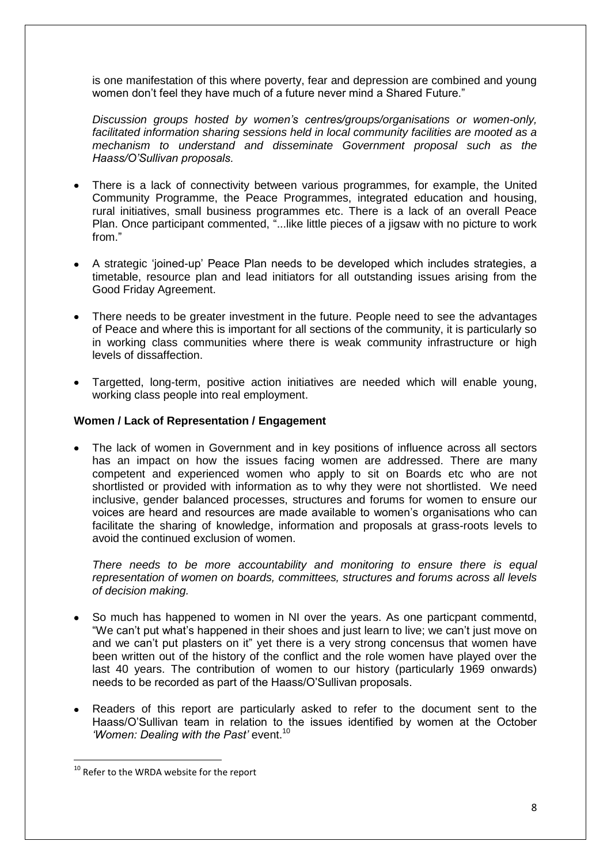is one manifestation of this where poverty, fear and depression are combined and young women don't feel they have much of a future never mind a Shared Future."

*Discussion groups hosted by women's centres/groups/organisations or women-only, facilitated information sharing sessions held in local community facilities are mooted as a mechanism to understand and disseminate Government proposal such as the Haass/O'Sullivan proposals.*

- There is a lack of connectivity between various programmes, for example, the United Community Programme, the Peace Programmes, integrated education and housing, rural initiatives, small business programmes etc. There is a lack of an overall Peace Plan. Once participant commented, "...like little pieces of a jigsaw with no picture to work from."
- A strategic 'joined-up' Peace Plan needs to be developed which includes strategies, a timetable, resource plan and lead initiators for all outstanding issues arising from the Good Friday Agreement.
- There needs to be greater investment in the future. People need to see the advantages of Peace and where this is important for all sections of the community, it is particularly so in working class communities where there is weak community infrastructure or high levels of dissaffection.
- Targetted, long-term, positive action initiatives are needed which will enable young, working class people into real employment.

#### **Women / Lack of Representation / Engagement**

The lack of women in Government and in key positions of influence across all sectors has an impact on how the issues facing women are addressed. There are many competent and experienced women who apply to sit on Boards etc who are not shortlisted or provided with information as to why they were not shortlisted. We need inclusive, gender balanced processes, structures and forums for women to ensure our voices are heard and resources are made available to women's organisations who can facilitate the sharing of knowledge, information and proposals at grass-roots levels to avoid the continued exclusion of women.

*There needs to be more accountability and monitoring to ensure there is equal representation of women on boards, committees, structures and forums across all levels of decision making.* 

- So much has happened to women in NI over the years. As one particpant commentd, "We can't put what's happened in their shoes and just learn to live; we can't just move on and we can't put plasters on it" yet there is a very strong concensus that women have been written out of the history of the conflict and the role women have played over the last 40 years. The contribution of women to our history (particularly 1969 onwards) needs to be recorded as part of the Haass/O'Sullivan proposals.
- Readers of this report are particularly asked to refer to the document sent to the Haass/O'Sullivan team in relation to the issues identified by women at the October 'Women: Dealing with the Past' event.<sup>10</sup>

1

<sup>&</sup>lt;sup>10</sup> Refer to the WRDA website for the report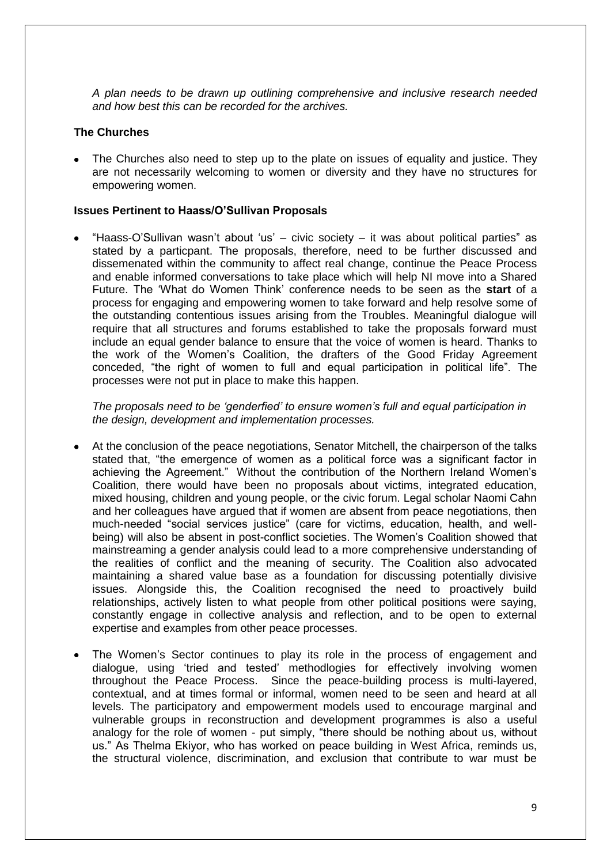*A plan needs to be drawn up outlining comprehensive and inclusive research needed and how best this can be recorded for the archives.*

#### **The Churches**

The Churches also need to step up to the plate on issues of equality and justice. They are not necessarily welcoming to women or diversity and they have no structures for empowering women.

#### **Issues Pertinent to Haass/O'Sullivan Proposals**

"Haass-O'Sullivan wasn't about 'us' – civic society – it was about political parties" as stated by a particpant. The proposals, therefore, need to be further discussed and dissemenated within the community to affect real change, continue the Peace Process and enable informed conversations to take place which will help NI move into a Shared Future. The 'What do Women Think' conference needs to be seen as the **start** of a process for engaging and empowering women to take forward and help resolve some of the outstanding contentious issues arising from the Troubles. Meaningful dialogue will require that all structures and forums established to take the proposals forward must include an equal gender balance to ensure that the voice of women is heard. Thanks to the work of the Women's Coalition, the drafters of the Good Friday Agreement conceded, "the right of women to full and equal participation in political life". The processes were not put in place to make this happen.

*The proposals need to be 'genderfied' to ensure women's full and equal participation in the design, development and implementation processes.* 

- At the conclusion of the peace negotiations, Senator Mitchell, the chairperson of the talks stated that, "the emergence of women as a political force was a significant factor in achieving the Agreement." Without the contribution of the Northern Ireland Women's Coalition, there would have been no proposals about victims, integrated education, mixed housing, children and young people, or the civic forum. Legal scholar Naomi Cahn and her colleagues have argued that if women are absent from peace negotiations, then much-needed "social services justice" (care for victims, education, health, and wellbeing) will also be absent in post-conflict societies. The Women's Coalition showed that mainstreaming a gender analysis could lead to a more comprehensive understanding of the realities of conflict and the meaning of security. The Coalition also advocated maintaining a shared value base as a foundation for discussing potentially divisive issues. Alongside this, the Coalition recognised the need to proactively build relationships, actively listen to what people from other political positions were saying, constantly engage in collective analysis and reflection, and to be open to external expertise and examples from other peace processes.
- The Women's Sector continues to play its role in the process of engagement and dialogue, using 'tried and tested' methodlogies for effectively involving women throughout the Peace Process. Since the peace-building process is multi-layered, contextual, and at times formal or informal, women need to be seen and heard at all levels. The participatory and empowerment models used to encourage marginal and vulnerable groups in reconstruction and development programmes is also a useful analogy for the role of women - put simply, "there should be nothing about us, without us." As Thelma Ekiyor, who has worked on peace building in West Africa, reminds us, the structural violence, discrimination, and exclusion that contribute to war must be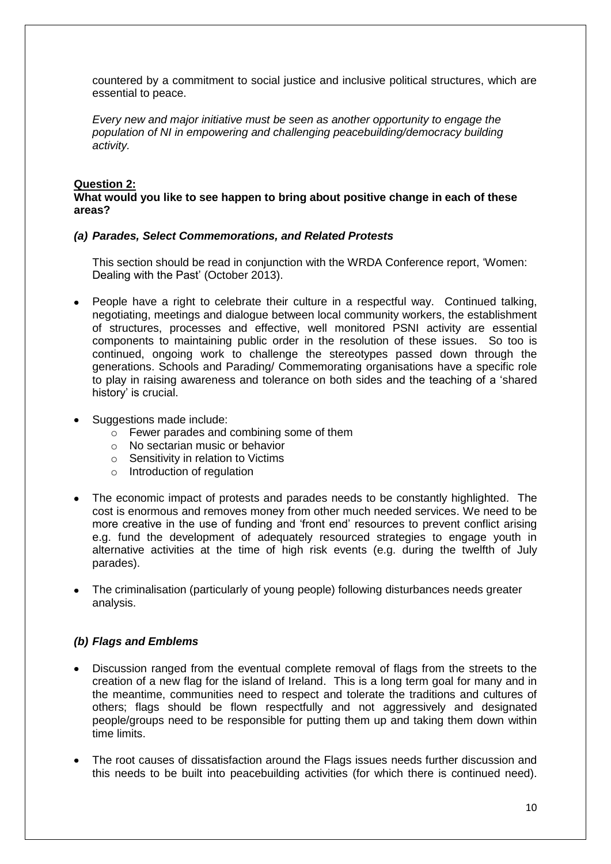countered by a commitment to social justice and inclusive political structures, which are essential to peace.

*Every new and major initiative must be seen as another opportunity to engage the population of NI in empowering and challenging peacebuilding/democracy building activity.* 

#### **Question 2:**

#### **What would you like to see happen to bring about positive change in each of these areas?**

#### *(a) Parades, Select Commemorations, and Related Protests*

This section should be read in conjunction with the WRDA Conference report, 'Women: Dealing with the Past' (October 2013).

- People have a right to celebrate their culture in a respectful way. Continued talking, negotiating, meetings and dialogue between local community workers, the establishment of structures, processes and effective, well monitored PSNI activity are essential components to maintaining public order in the resolution of these issues. So too is continued, ongoing work to challenge the stereotypes passed down through the generations. Schools and Parading/ Commemorating organisations have a specific role to play in raising awareness and tolerance on both sides and the teaching of a 'shared history' is crucial.
- Suggestions made include:
	- $\circ$  Fewer parades and combining some of them
	- o No sectarian music or behavior
	- o Sensitivity in relation to Victims
	- o Introduction of regulation
- The economic impact of protests and parades needs to be constantly highlighted. The cost is enormous and removes money from other much needed services. We need to be more creative in the use of funding and 'front end' resources to prevent conflict arising e.g. fund the development of adequately resourced strategies to engage youth in alternative activities at the time of high risk events (e.g. during the twelfth of July parades).
- The criminalisation (particularly of young people) following disturbances needs greater analysis.

#### *(b) Flags and Emblems*

- Discussion ranged from the eventual complete removal of flags from the streets to the creation of a new flag for the island of Ireland. This is a long term goal for many and in the meantime, communities need to respect and tolerate the traditions and cultures of others; flags should be flown respectfully and not aggressively and designated people/groups need to be responsible for putting them up and taking them down within time limits.
- The root causes of dissatisfaction around the Flags issues needs further discussion and this needs to be built into peacebuilding activities (for which there is continued need).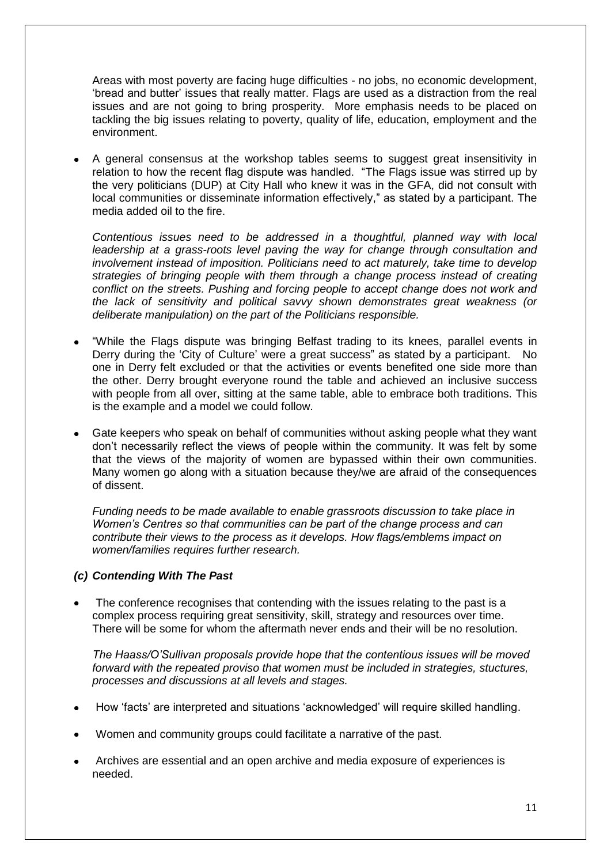Areas with most poverty are facing huge difficulties - no jobs, no economic development, 'bread and butter' issues that really matter. Flags are used as a distraction from the real issues and are not going to bring prosperity. More emphasis needs to be placed on tackling the big issues relating to poverty, quality of life, education, employment and the environment.

A general consensus at the workshop tables seems to suggest great insensitivity in relation to how the recent flag dispute was handled. "The Flags issue was stirred up by the very politicians (DUP) at City Hall who knew it was in the GFA, did not consult with local communities or disseminate information effectively," as stated by a participant. The media added oil to the fire.

*Contentious issues need to be addressed in a thoughtful, planned way with local leadership at a grass-roots level paving the way for change through consultation and involvement instead of imposition. Politicians need to act maturely, take time to develop strategies of bringing people with them through a change process instead of creating conflict on the streets. Pushing and forcing people to accept change does not work and the lack of sensitivity and political savvy shown demonstrates great weakness (or deliberate manipulation) on the part of the Politicians responsible.*

- "While the Flags dispute was bringing Belfast trading to its knees, parallel events in Derry during the 'City of Culture' were a great success" as stated by a participant. No one in Derry felt excluded or that the activities or events benefited one side more than the other. Derry brought everyone round the table and achieved an inclusive success with people from all over, sitting at the same table, able to embrace both traditions. This is the example and a model we could follow.
- Gate keepers who speak on behalf of communities without asking people what they want don't necessarily reflect the views of people within the community. It was felt by some that the views of the majority of women are bypassed within their own communities. Many women go along with a situation because they/we are afraid of the consequences of dissent.

*Funding needs to be made available to enable grassroots discussion to take place in Women's Centres so that communities can be part of the change process and can contribute their views to the process as it develops. How flags/emblems impact on women/families requires further research.*

#### *(c) Contending With The Past*

The conference recognises that contending with the issues relating to the past is a complex process requiring great sensitivity, skill, strategy and resources over time. There will be some for whom the aftermath never ends and their will be no resolution.

*The Haass/O'Sullivan proposals provide hope that the contentious issues will be moved forward with the repeated proviso that women must be included in strategies, stuctures, processes and discussions at all levels and stages.*

- How 'facts' are interpreted and situations 'acknowledged' will require skilled handling.
- Women and community groups could facilitate a narrative of the past.
- Archives are essential and an open archive and media exposure of experiences is needed.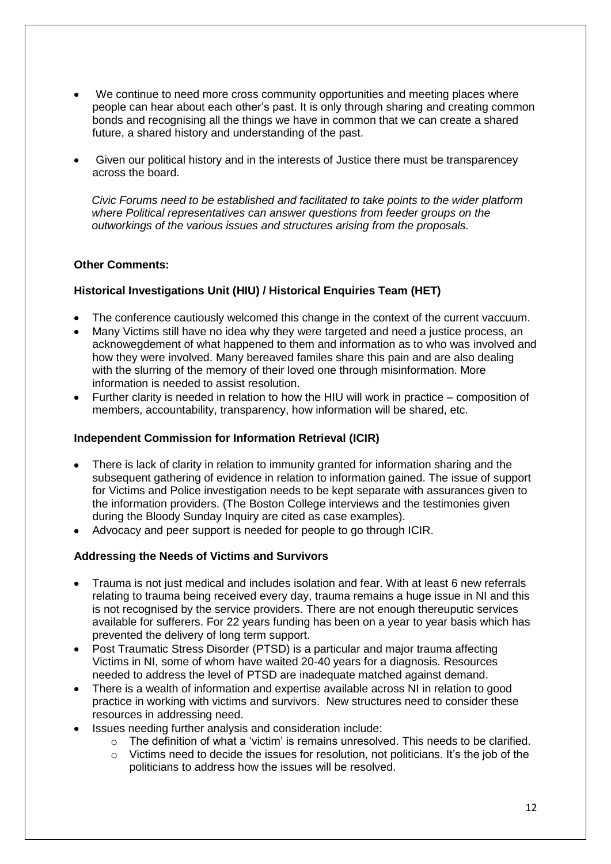- We continue to need more cross community opportunities and meeting places where people can hear about each other's past. It is only through sharing and creating common bonds and recognising all the things we have in common that we can create a shared future, a shared history and understanding of the past.
- Given our political history and in the interests of Justice there must be transparencey across the board.

*Civic Forums need to be established and facilitated to take points to the wider platform where Political representatives can answer questions from feeder groups on the outworkings of the various issues and structures arising from the proposals.*

#### **Other Comments:**

#### **Historical Investigations Unit (HIU) / Historical Enquiries Team (HET)**

- The conference cautiously welcomed this change in the context of the current vaccuum.
- Many Victims still have no idea why they were targeted and need a justice process, an acknowegdement of what happened to them and information as to who was involved and how they were involved. Many bereaved familes share this pain and are also dealing with the slurring of the memory of their loved one through misinformation. More information is needed to assist resolution.
- Further clarity is needed in relation to how the HIU will work in practice composition of members, accountability, transparency, how information will be shared, etc.

#### **Independent Commission for Information Retrieval (ICIR)**

- There is lack of clarity in relation to immunity granted for information sharing and the subsequent gathering of evidence in relation to information gained. The issue of support for Victims and Police investigation needs to be kept separate with assurances given to the information providers. (The Boston College interviews and the testimonies given during the Bloody Sunday Inquiry are cited as case examples).
- Advocacy and peer support is needed for people to go through ICIR.

#### **Addressing the Needs of Victims and Survivors**

- Trauma is not just medical and includes isolation and fear. With at least 6 new referrals relating to trauma being received every day, trauma remains a huge issue in NI and this is not recognised by the service providers. There are not enough thereuputic services available for sufferers. For 22 years funding has been on a year to year basis which has prevented the delivery of long term support.
- Post Traumatic Stress Disorder (PTSD) is a particular and major trauma affecting Victims in NI, some of whom have waited 20-40 years for a diagnosis. Resources needed to address the level of PTSD are inadequate matched against demand.
- There is a wealth of information and expertise available across NI in relation to good practice in working with victims and survivors. New structures need to consider these resources in addressing need.
- Issues needing further analysis and consideration include:
	- o The definition of what a 'victim' is remains unresolved. This needs to be clarified.
	- $\circ$  Victims need to decide the issues for resolution, not politicians. It's the job of the politicians to address how the issues will be resolved.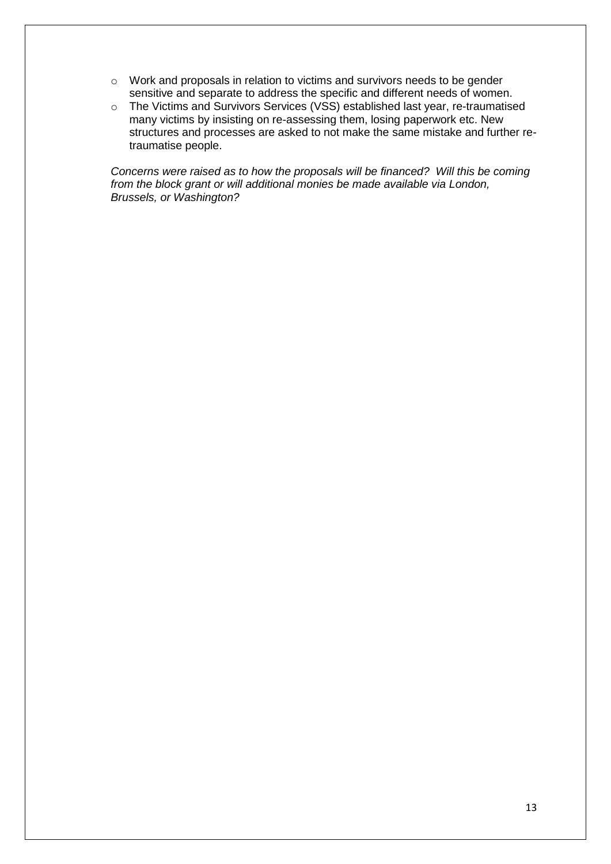- o Work and proposals in relation to victims and survivors needs to be gender sensitive and separate to address the specific and different needs of women.
- o The Victims and Survivors Services (VSS) established last year, re-traumatised many victims by insisting on re-assessing them, losing paperwork etc. New structures and processes are asked to not make the same mistake and further retraumatise people.

*Concerns were raised as to how the proposals will be financed? Will this be coming from the block grant or will additional monies be made available via London, Brussels, or Washington?*